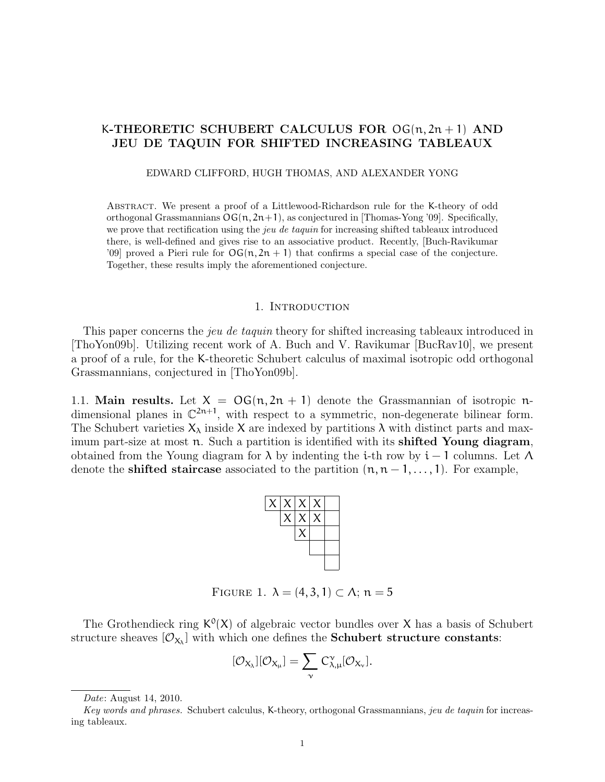# K-THEORETIC SCHUBERT CALCULUS FOR  $OG(n, 2n + 1)$  AND JEU DE TAQUIN FOR SHIFTED INCREASING TABLEAUX

#### EDWARD CLIFFORD, HUGH THOMAS, AND ALEXANDER YONG

Abstract. We present a proof of a Littlewood-Richardson rule for the K-theory of odd orthogonal Grassmannians  $\text{OG}(n, 2n+1)$ , as conjectured in [Thomas-Yong '09]. Specifically, we prove that rectification using the *jeu de taquin* for increasing shifted tableaux introduced there, is well-defined and gives rise to an associative product. Recently, [Buch-Ravikumar '09] proved a Pieri rule for  $\mathsf{OG}(n, 2n + 1)$  that confirms a special case of the conjecture. Together, these results imply the aforementioned conjecture.

#### 1. INTRODUCTION

This paper concerns the *jeu de taquin* theory for shifted increasing tableaux introduced in [ThoYon09b]. Utilizing recent work of A. Buch and V. Ravikumar [BucRav10], we present a proof of a rule, for the K-theoretic Schubert calculus of maximal isotropic odd orthogonal Grassmannians, conjectured in [ThoYon09b].

1.1. Main results. Let  $X = OG(n, 2n + 1)$  denote the Grassmannian of isotropic ndimensional planes in  $\mathbb{C}^{2n+1}$ , with respect to a symmetric, non-degenerate bilinear form. The Schubert varieties  $X_{\lambda}$  inside X are indexed by partitions  $\lambda$  with distinct parts and maximum part-size at most  $\pi$ . Such a partition is identified with its shifted Young diagram, obtained from the Young diagram for  $\lambda$  by indenting the i-th row by i – 1 columns. Let  $\Lambda$ denote the **shifted staircase** associated to the partition  $(n, n-1, \ldots, 1)$ . For example,



FIGURE 1.  $\lambda = (4, 3, 1) \subset \Lambda$ ;  $n = 5$ 

The Grothendieck ring  $K^0(X)$  of algebraic vector bundles over X has a basis of Schubert structure sheaves  $[\mathcal{O}_{X_\lambda}]$  with which one defines the **Schubert structure constants**:

$$
[\mathcal{O}_{X_{\lambda}}][\mathcal{O}_{X_{\mu}}] = \sum_{\nu} C_{\lambda,\mu}^{\nu}[\mathcal{O}_{X_{\nu}}].
$$

Date: August 14, 2010.

Key words and phrases. Schubert calculus, K-theory, orthogonal Grassmannians, jeu de taquin for increasing tableaux.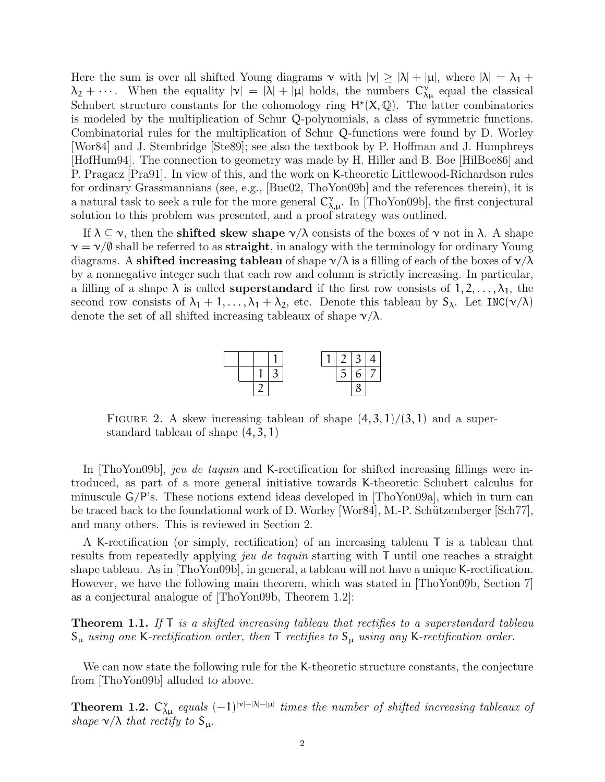Here the sum is over all shifted Young diagrams  $\nu$  with  $|\nu| \ge |\lambda| + |\mu|$ , where  $|\lambda| = \lambda_1 +$  $\lambda_2 + \cdots$ . When the equality  $|\nu| = |\lambda| + |\mu|$  holds, the numbers  $C^{\nu}_{\lambda\mu}$  equal the classical Schubert structure constants for the cohomology ring  $H^*(X,\mathbb{Q})$ . The latter combinatorics is modeled by the multiplication of Schur Q-polynomials, a class of symmetric functions. Combinatorial rules for the multiplication of Schur Q-functions were found by D. Worley [Wor84] and J. Stembridge [Ste89]; see also the textbook by P. Hoffman and J. Humphreys [HofHum94]. The connection to geometry was made by H. Hiller and B. Boe [HilBoe86] and P. Pragacz [Pra91]. In view of this, and the work on K-theoretic Littlewood-Richardson rules for ordinary Grassmannians (see, e.g., [Buc02, ThoYon09b] and the references therein), it is a natural task to seek a rule for the more general  $C^{\gamma}_{\lambda,\mu}$ . In [ThoYon09b], the first conjectural solution to this problem was presented, and a proof strategy was outlined.

If  $\lambda \subseteq \nu$ , then the **shifted skew shape**  $\nu/\lambda$  consists of the boxes of  $\nu$  not in  $\lambda$ . A shape  $\nu = \nu/\varnothing$  shall be referred to as **straight**, in analogy with the terminology for ordinary Young diagrams. A shifted increasing tableau of shape  $\nu/\lambda$  is a filling of each of the boxes of  $\nu/\lambda$ by a nonnegative integer such that each row and column is strictly increasing. In particular, a filling of a shape  $\lambda$  is called **superstandard** if the first row consists of  $1, 2, \ldots, \lambda_1$ , the second row consists of  $\lambda_1 + 1, \ldots, \lambda_1 + \lambda_2$ , etc. Denote this tableau by  $S_\lambda$ . Let INC( $v/\lambda$ ) denote the set of all shifted increasing tableaux of shape  $\nu/\lambda$ .



FIGURE 2. A skew increasing tableau of shape  $(4, 3, 1)/(3, 1)$  and a superstandard tableau of shape (4, 3, 1)

In [ThoYon09b], jeu de taquin and K-rectification for shifted increasing fillings were introduced, as part of a more general initiative towards K-theoretic Schubert calculus for minuscule  $G/P$ 's. These notions extend ideas developed in  $[ThoYon09a]$ , which in turn can be traced back to the foundational work of D. Worley [Wor84], M.-P. Schützenberger  $\lbrack Sch77]$ , and many others. This is reviewed in Section 2.

A K-rectification (or simply, rectification) of an increasing tableau T is a tableau that results from repeatedly applying jeu de taquin starting with T until one reaches a straight shape tableau. As in [ThoYon09b], in general, a tableau will not have a unique K-rectification. However, we have the following main theorem, which was stated in [ThoYon09b, Section 7] as a conjectural analogue of [ThoYon09b, Theorem 1.2]:

**Theorem 1.1.** If  $\mathsf{T}$  is a shifted increasing tableau that rectifies to a superstandard tableau  $S_{\mu}$  using one K-rectification order, then T rectifies to  $S_{\mu}$  using any K-rectification order.

We can now state the following rule for the K-theoretic structure constants, the conjecture from [ThoYon09b] alluded to above.

**Theorem 1.2.**  $C_{\lambda\mu}^{\nu}$  equals  $(-1)^{|\nu|-|\lambda|-|\mu|}$  times the number of shifted increasing tableaux of shape  $v/\lambda$  that rectify to  $S_{\mu}$ .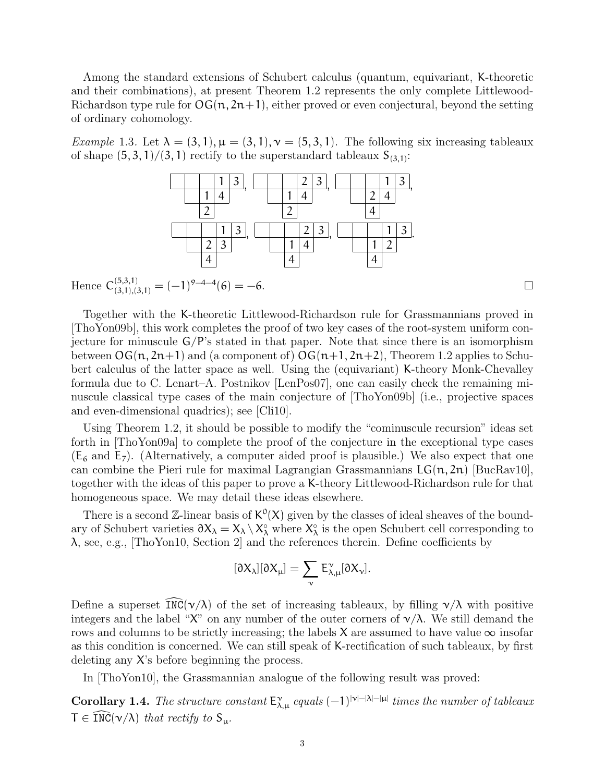Among the standard extensions of Schubert calculus (quantum, equivariant, K-theoretic and their combinations), at present Theorem 1.2 represents the only complete Littlewood-Richardson type rule for  $\mathsf{OG}(n, 2n+1)$ , either proved or even conjectural, beyond the setting of ordinary cohomology.

Example 1.3. Let  $\lambda = (3, 1), \mu = (3, 1), \gamma = (5, 3, 1)$ . The following six increasing tableaux of shape  $(5, 3, 1)/(3, 1)$  rectify to the superstandard tableaux  $S_{(3,1)}$ :



Hence  $C_{(3,1),(3,1)}^{(5,3,1)} = (-1)^{9-4-4}(6) = -6.$ 

Together with the K-theoretic Littlewood-Richardson rule for Grassmannians proved in [ThoYon09b], this work completes the proof of two key cases of the root-system uniform conjecture for minuscule  $G/P$ 's stated in that paper. Note that since there is an isomorphism between  $\mathsf{OG}(n, 2n+1)$  and (a component of)  $\mathsf{OG}(n+1, 2n+2)$ , Theorem 1.2 applies to Schubert calculus of the latter space as well. Using the (equivariant) K-theory Monk-Chevalley formula due to C. Lenart–A. Postnikov [LenPos07], one can easily check the remaining minuscule classical type cases of the main conjecture of [ThoYon09b] (i.e., projective spaces and even-dimensional quadrics); see [Cli10].

Using Theorem 1.2, it should be possible to modify the "cominuscule recursion" ideas set forth in [ThoYon09a] to complete the proof of the conjecture in the exceptional type cases  $(E_6 \text{ and } E_7)$ . (Alternatively, a computer aided proof is plausible.) We also expect that one can combine the Pieri rule for maximal Lagrangian Grassmannians  $LG(n, 2n)$  [BucRav10], together with the ideas of this paper to prove a K-theory Littlewood-Richardson rule for that homogeneous space. We may detail these ideas elsewhere.

There is a second  $\mathbb{Z}$ -linear basis of  $K^0(X)$  given by the classes of ideal sheaves of the boundary of Schubert varieties  $\partial X_\lambda = X_\lambda \setminus X_\lambda^{\circ}$  where  $X_\lambda^{\circ}$  is the open Schubert cell corresponding to  $\lambda$ , see, e.g., [ThoYon10, Section 2] and the references therein. Define coefficients by

$$
[\partial X_{\lambda}][\partial X_{\mu}]=\sum_{\nu}E_{\lambda,\mu}^{\nu}[\partial X_{\nu}].
$$

Define a superset  $\overline{INC}(\nu/\lambda)$  of the set of increasing tableaux, by filling  $\nu/\lambda$  with positive integers and the label "X" on any number of the outer corners of  $\gamma/\lambda$ . We still demand the rows and columns to be strictly increasing; the labels X are assumed to have value  $\infty$  insofar as this condition is concerned. We can still speak of K-rectification of such tableaux, by first deleting any X's before beginning the process.

In [ThoYon10], the Grassmannian analogue of the following result was proved:

**Corollary 1.4.** The structure constant  $E^{\gamma}_{\lambda,\mu}$  equals  $(-1)^{|\gamma|-|\lambda|-|\mu|}$  times the number of tableaux  $T \in \text{INC}(\nu/\lambda)$  that rectify to  $S_{\mu}$ .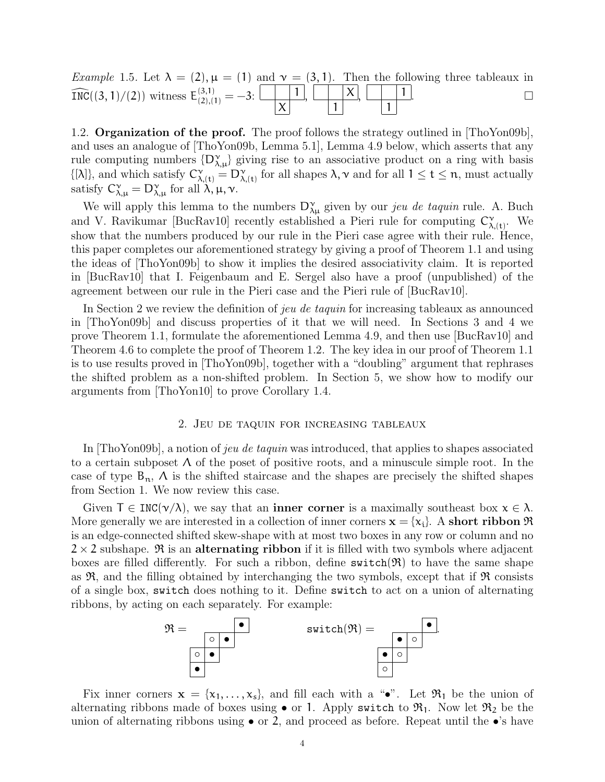Example 1.5. Let  $\lambda = (2)$ ,  $\mu = (1)$  and  $\gamma = (3, 1)$ . Then the following three tableaux in  $\widehat{\text{INC}}((3, 1)/(2))$  witness  $E_{(2),(1)}^{(3,1)} = -3:$ X  $\left| ,\ \right| \qquad \qquad \mid X$ 1 , 1 1 .

1.2. **Organization of the proof.** The proof follows the strategy outlined in [ThoYon09b], and uses an analogue of [ThoYon09b, Lemma 5.1], Lemma 4.9 below, which asserts that any rule computing numbers  $\{D_{\lambda,\mu}^{\gamma}\}\$  giving rise to an associative product on a ring with basis  $\{[\lambda]\}\$ , and which satisfy  $C_{\lambda,(t)}^{\vee} = D_{\lambda,(t)}^{\vee}$  for all shapes  $\lambda, \nu$  and for all  $1 \leq t \leq n$ , must actually satisfy  $C^{\gamma}_{\lambda,\mu} = D^{\gamma}_{\lambda,\mu}$  for all  $\lambda, \mu, \nu$ .

We will apply this lemma to the numbers  $D_{\lambda\mu}^{\gamma}$  given by our *jeu de taquin* rule. A. Buch and V. Ravikumar [BucRav10] recently established a Pieri rule for computing  $C_{\lambda,(t)}^{\gamma}$ . We show that the numbers produced by our rule in the Pieri case agree with their rule. Hence, this paper completes our aforementioned strategy by giving a proof of Theorem 1.1 and using the ideas of [ThoYon09b] to show it implies the desired associativity claim. It is reported in [BucRav10] that I. Feigenbaum and E. Sergel also have a proof (unpublished) of the agreement between our rule in the Pieri case and the Pieri rule of [BucRav10].

In Section 2 we review the definition of jeu de taquin for increasing tableaux as announced in [ThoYon09b] and discuss properties of it that we will need. In Sections 3 and 4 we prove Theorem 1.1, formulate the aforementioned Lemma 4.9, and then use [BucRav10] and Theorem 4.6 to complete the proof of Theorem 1.2. The key idea in our proof of Theorem 1.1 is to use results proved in [ThoYon09b], together with a "doubling" argument that rephrases the shifted problem as a non-shifted problem. In Section 5, we show how to modify our arguments from [ThoYon10] to prove Corollary 1.4.

## 2. Jeu de taquin for increasing tableaux

In [ThoYon09b], a notion of jeu de taquin was introduced, that applies to shapes associated to a certain subposet  $\Lambda$  of the poset of positive roots, and a minuscule simple root. In the case of type  $B_n$ ,  $\Lambda$  is the shifted staircase and the shapes are precisely the shifted shapes from Section 1. We now review this case.

Given  $T \in \text{INC}(\nu/\lambda)$ , we say that an **inner corner** is a maximally southeast box  $x \in \lambda$ . More generally we are interested in a collection of inner corners  $\mathbf{x} = \{x_i\}$ . A short ribbon  $\Re$ is an edge-connected shifted skew-shape with at most two boxes in any row or column and no  $2 \times 2$  subshape.  $\Re$  is an alternating ribbon if it is filled with two symbols where adjacent boxes are filled differently. For such a ribbon, define  $\text{switch}(\mathfrak{R})$  to have the same shape as  $\mathfrak{R}$ , and the filling obtained by interchanging the two symbols, except that if  $\mathfrak{R}$  consists of a single box, switch does nothing to it. Define switch to act on a union of alternating ribbons, by acting on each separately. For example:



Fix inner corners  $\mathbf{x} = \{x_1, \ldots, x_s\}$ , and fill each with a " $\bullet$ ". Let  $\mathfrak{R}_1$  be the union of alternating ribbons made of boxes using  $\bullet$  or 1. Apply switch to  $\mathfrak{R}_1$ . Now let  $\mathfrak{R}_2$  be the union of alternating ribbons using  $\bullet$  or 2, and proceed as before. Repeat until the  $\bullet$ 's have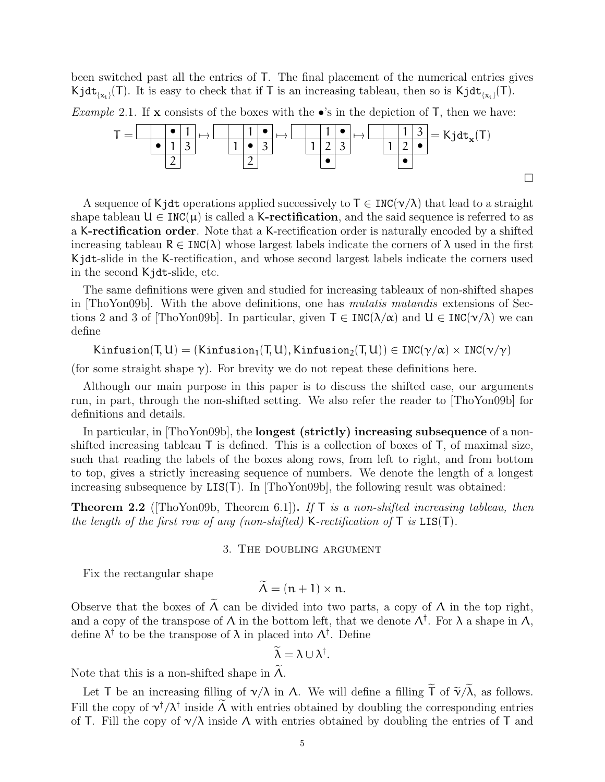been switched past all the entries of T. The final placement of the numerical entries gives Kjdt<sub>{x<sub>i</sub>}</sub>(T). It is easy to check that if T is an increasing tableau, then so is Kjdt<sub>{x<sub>i</sub>}</sub>(T).

*Example* 2.1. If **x** consists of the boxes with the  $\bullet$ 's in the depiction of T, then we have:



A sequence of Kjdt operations applied successively to  $\mathsf{T} \in \text{INC}(\nu/\lambda)$  that lead to a straight shape tableau  $U \in \text{INC}(\mu)$  is called a K-rectification, and the said sequence is referred to as a K-rectification order. Note that a K-rectification order is naturally encoded by a shifted increasing tableau  $R \in \text{INC}(\lambda)$  whose largest labels indicate the corners of  $\lambda$  used in the first Kjdt-slide in the K-rectification, and whose second largest labels indicate the corners used in the second Kjdt-slide, etc.

The same definitions were given and studied for increasing tableaux of non-shifted shapes in [ThoYon09b]. With the above definitions, one has mutatis mutandis extensions of Sections 2 and 3 of [ThoYon09b]. In particular, given  $T \in \text{INC}(\lambda/\alpha)$  and  $U \in \text{INC}(\nu/\lambda)$  we can define

Kinfusion(T, U) = (Kinfusion<sub>1</sub>(T, U), Kinfusion<sub>2</sub>(T, U))  $\in \text{INC}(\gamma/\alpha) \times \text{INC}(\gamma/\gamma)$ 

(for some straight shape  $\gamma$ ). For brevity we do not repeat these definitions here.

Although our main purpose in this paper is to discuss the shifted case, our arguments run, in part, through the non-shifted setting. We also refer the reader to [ThoYon09b] for definitions and details.

In particular, in [ThoYon09b], the **longest (strictly) increasing subsequence** of a nonshifted increasing tableau T is defined. This is a collection of boxes of T, of maximal size, such that reading the labels of the boxes along rows, from left to right, and from bottom to top, gives a strictly increasing sequence of numbers. We denote the length of a longest increasing subsequence by  $LIS(T)$ . In [ThoYon09b], the following result was obtained:

**Theorem 2.2** (ThoYon09b, Theorem 6.1). If T is a non-shifted increasing tableau, then the length of the first row of any (non-shifted) K-rectification of  $T$  is  $LIST(T)$ .

### 3. The doubling argument

Fix the rectangular shape

 $\widetilde{\Lambda} = (n + 1) \times n$ .

Observe that the boxes of  $\Lambda$  can be divided into two parts, a copy of  $\Lambda$  in the top right, and a copy of the transpose of  $\Lambda$  in the bottom left, that we denote  $\Lambda^{\dagger}$ . For  $\lambda$  a shape in  $\Lambda$ , define  $\lambda^{\dagger}$  to be the transpose of  $\lambda$  in placed into  $\Lambda^{\dagger}$ . Define

$$
\widetilde{\lambda} = \lambda \cup \lambda^{\dagger}.
$$

Note that this is a non-shifted shape in  $\Lambda$ .

Let T be an increasing filling of  $\gamma/\lambda$  in  $\Lambda$ . We will define a filling  $\tilde{\mathsf{T}}$  of  $\tilde{\gamma}/\tilde{\lambda}$ , as follows. Fill the copy of  $v^{\dagger}/\lambda^{\dagger}$  inside  $\Lambda$  with entries obtained by doubling the corresponding entries of T. Fill the copy of  $\nu/\lambda$  inside  $\Lambda$  with entries obtained by doubling the entries of T and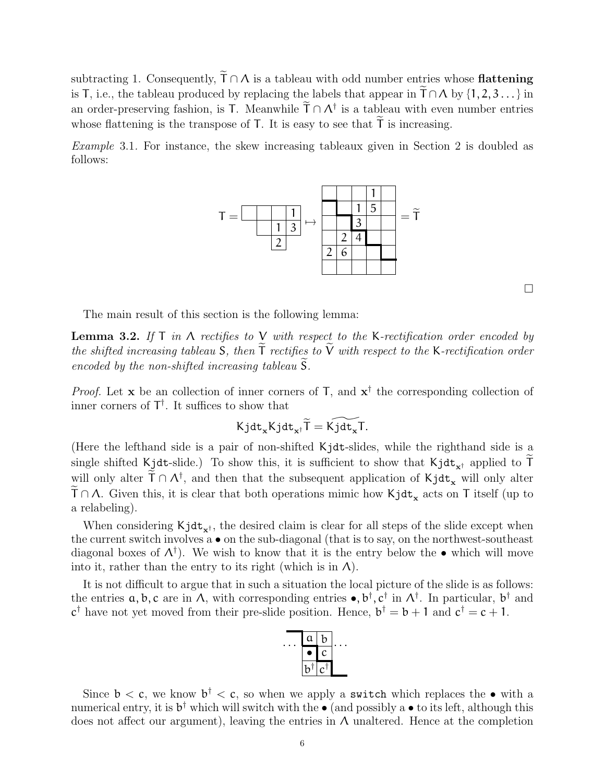subtracting 1. Consequently,  $\widetilde{T} \cap \Lambda$  is a tableau with odd number entries whose **flattening** is T, i.e., the tableau produced by replacing the labels that appear in  $T \cap A$  by  $\{1, 2, 3, \ldots\}$  in an order-preserving fashion, is T. Meanwhile  $\overline{T} \cap \Lambda^{\dagger}$  is a tableau with even number entries whose flattening is the transpose of  $T$ . It is easy to see that  $T$  is increasing.

Example 3.1. For instance, the skew increasing tableaux given in Section 2 is doubled as follows:



 $\Box$ 

The main result of this section is the following lemma:

**Lemma 3.2.** If  $T$  in  $\Lambda$  rectifies to  $V$  with respect to the K-rectification order encoded by the shifted increasing tableau S, then  $\tilde{T}$  rectifies to  $\tilde{V}$  with respect to the K-rectification order encoded by the non-shifted increasing tableau  $\widetilde{S}$ .

*Proof.* Let **x** be an collection of inner corners of  $\mathsf{T}$ , and  $\mathsf{x}^{\dagger}$  the corresponding collection of inner corners of  $T^{\dagger}$ . It suffices to show that

$$
K\mathtt{jdt}_{\mathbf{x}}K\mathtt{jdt}_{\mathbf{x}^{\dagger}}\widetilde{T}=K\widetilde{\mathtt{jdt}_{\mathbf{x}}}T.
$$

(Here the lefthand side is a pair of non-shifted Kjdt-slides, while the righthand side is a single shifted Kjdt-slide.) To show this, it is sufficient to show that  $Kjdt_{x^{\dagger}}$  applied to T will only alter  $\overline{\Gamma} \cap \Lambda^{\dagger}$ , and then that the subsequent application of Kjdt<sub>x</sub> will only alter  $T \cap \Lambda$ . Given this, it is clear that both operations mimic how  $Kjdt_{x}$  acts on T itself (up to a relabeling).

When considering  $Kjdt_{x^{\dagger}}$ , the desired claim is clear for all steps of the slide except when the current switch involves a • on the sub-diagonal (that is to say, on the northwest-southeast diagonal boxes of  $\Lambda^{\dagger}$ ). We wish to know that it is the entry below the  $\bullet$  which will move into it, rather than the entry to its right (which is in  $\Lambda$ ).

It is not difficult to argue that in such a situation the local picture of the slide is as follows: the entries  $a, b, c$  are in  $\Lambda$ , with corresponding entries  $\bullet, b^{\dagger}, c^{\dagger}$  in  $\Lambda^{\dagger}$ . In particular,  $b^{\dagger}$  and  $c^{\dagger}$  have not yet moved from their pre-slide position. Hence,  $b^{\dagger} = b + 1$  and  $c^{\dagger} = c + 1$ .



Since  $b < c$ , we know  $b^{\dagger} < c$ , so when we apply a switch which replaces the  $\bullet$  with a numerical entry, it is  $b^{\dagger}$  which will switch with the  $\bullet$  (and possibly a  $\bullet$  to its left, although this does not affect our argument), leaving the entries in  $\Lambda$  unaltered. Hence at the completion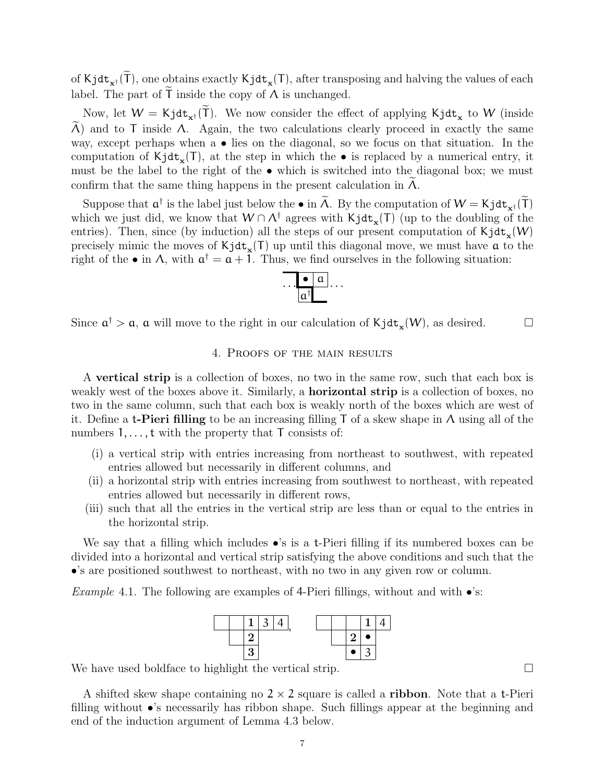of Kjdt<sub>x</sub><sup>†</sup> (T), one obtains exactly Kjdt<sub>x</sub>(T), after transposing and halving the values of each label. The part of  $\tilde{T}$  inside the copy of  $\Lambda$  is unchanged.

Now, let  $W = Kj dt_{x^{\dagger}}(T)$ . We now consider the effect of applying  $Kj dt_x$  to W (inside  $Λ$ ) and to T inside  $Λ$ . Again, the two calculations clearly proceed in exactly the same way, except perhaps when a • lies on the diagonal, so we focus on that situation. In the computation of  $Kjdt_{x}(T)$ , at the step in which the  $\bullet$  is replaced by a numerical entry, it must be the label to the right of the • which is switched into the diagonal box; we must confirm that the same thing happens in the present calculation in  $\Lambda$ .

Suppose that  $a^{\dagger}$  is the label just below the • in  $\Lambda$ . By the computation of  $W = Kj dt_{x^{\dagger}}(\tilde{T})$ which we just did, we know that  $W \cap \Lambda^{\dagger}$  agrees with  $Kjdt_{x}(T)$  (up to the doubling of the entries). Then, since (by induction) all the steps of our present computation of  $\text{Kjdt}_{\mathbf{x}}(W)$ precisely mimic the moves of  $\text{Kjdt}_{\mathbf{x}}(T)$  up until this diagonal move, we must have  $\alpha$  to the right of the  $\bullet$  in A, with  $\mathfrak{a}^{\dagger} = \mathfrak{a} + 1$ . Thus, we find ourselves in the following situation:



Since  $\mathfrak{a}^{\dagger} > \mathfrak{a}$ ,  $\mathfrak{a}$  will move to the right in our calculation of  $\text{Kjdt}_{\mathbf{x}}(W)$ , as desired.

# 4. Proofs of the main results

A vertical strip is a collection of boxes, no two in the same row, such that each box is weakly west of the boxes above it. Similarly, a **horizontal strip** is a collection of boxes, no two in the same column, such that each box is weakly north of the boxes which are west of it. Define a **t-Pieri filling** to be an increasing filling T of a skew shape in  $\Lambda$  using all of the numbers  $1, \ldots, t$  with the property that  $T$  consists of:

- (i) a vertical strip with entries increasing from northeast to southwest, with repeated entries allowed but necessarily in different columns, and
- (ii) a horizontal strip with entries increasing from southwest to northeast, with repeated entries allowed but necessarily in different rows,
- (iii) such that all the entries in the vertical strip are less than or equal to the entries in the horizontal strip.

We say that a filling which includes  $\bullet$ 's is a t-Pieri filling if its numbered boxes can be divided into a horizontal and vertical strip satisfying the above conditions and such that the •'s are positioned southwest to northeast, with no two in any given row or column.

*Example 4.1.* The following are examples of 4-Pieri fillings, without and with  $\bullet$ 's:



We have used boldface to highlight the vertical strip.

A shifted skew shape containing no  $2 \times 2$  square is called a **ribbon**. Note that a t-Pieri filling without •'s necessarily has ribbon shape. Such fillings appear at the beginning and end of the induction argument of Lemma 4.3 below.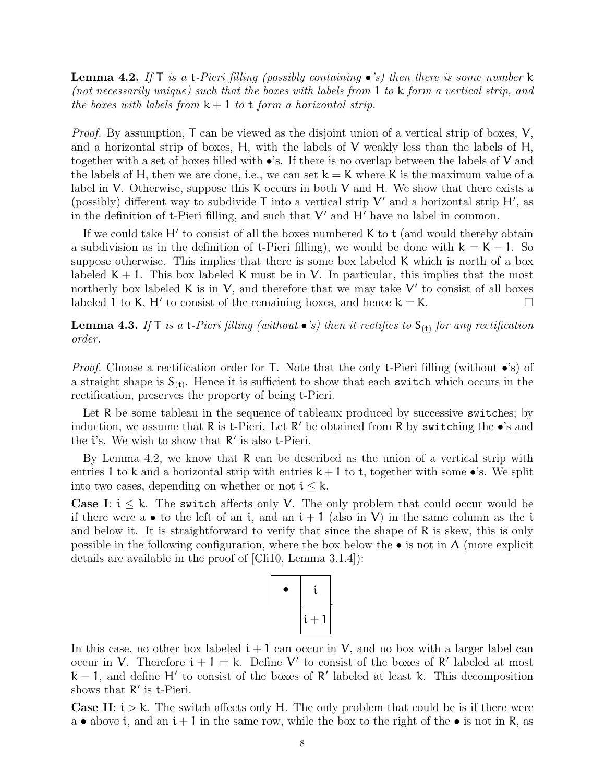**Lemma 4.2.** If  $\Gamma$  is a t-Pieri filling (possibly containing •'s) then there is some number k (not necessarily unique) such that the boxes with labels from 1 to k form a vertical strip, and the boxes with labels from  $k + 1$  to t form a horizontal strip.

*Proof.* By assumption,  $T$  can be viewed as the disjoint union of a vertical strip of boxes,  $V$ , and a horizontal strip of boxes,  $H$ , with the labels of  $V$  weakly less than the labels of  $H$ , together with a set of boxes filled with  $\bullet$ 's. If there is no overlap between the labels of V and the labels of H, then we are done, i.e., we can set  $k = K$  where K is the maximum value of a label in V. Otherwise, suppose this K occurs in both V and H. We show that there exists a (possibly) different way to subdivide  $T$  into a vertical strip  $V'$  and a horizontal strip  $H'$ , as in the definition of  $t$ -Pieri filling, and such that  $V'$  and  $H'$  have no label in common.

If we could take  $H'$  to consist of all the boxes numbered K to  $t$  (and would thereby obtain a subdivision as in the definition of t-Pieri filling), we would be done with  $k = K - 1$ . So suppose otherwise. This implies that there is some box labeled K which is north of a box labeled  $K + 1$ . This box labeled K must be in V. In particular, this implies that the most northerly box labeled K is in V, and therefore that we may take  $V'$  to consist of all boxes labeled 1 to K, H' to consist of the remaining boxes, and hence  $k = K$ .

**Lemma 4.3.** If  $T$  is a t-Pieri filling (without  $\bullet$ 's) then it rectifies to  $S_{(t)}$  for any rectification order.

*Proof.* Choose a rectification order for T. Note that the only t-Pieri filling (without  $\bullet$ 's) of a straight shape is  $S_{(t)}$ . Hence it is sufficient to show that each switch which occurs in the rectification, preserves the property of being t-Pieri.

Let R be some tableau in the sequence of tableaux produced by successive switches; by induction, we assume that  $R$  is t-Pieri. Let  $R'$  be obtained from  $R$  by switching the  $\bullet$ 's and the  $i$ 's. We wish to show that  $R'$  is also t-Pieri.

By Lemma 4.2, we know that R can be described as the union of a vertical strip with entries 1 to k and a horizontal strip with entries  $k+1$  to t, together with some •'s. We split into two cases, depending on whether or not  $i \leq k$ .

**Case I:**  $i \leq k$ . The switch affects only V. The only problem that could occur would be if there were a  $\bullet$  to the left of an i, and an  $i+1$  (also in V) in the same column as the i and below it. It is straightforward to verify that since the shape of R is skew, this is only possible in the following configuration, where the box below the  $\bullet$  is not in  $\Lambda$  (more explicit details are available in the proof of [Cli10, Lemma 3.1.4]):



In this case, no other box labeled  $i + 1$  can occur in V, and no box with a larger label can occur in V. Therefore  $i + 1 = k$ . Define V' to consist of the boxes of R' labeled at most  $k - 1$ , and define H' to consist of the boxes of R' labeled at least k. This decomposition shows that  $R'$  is t-Pieri.

**Case II:**  $i > k$ . The switch affects only H. The only problem that could be is if there were a • above i, and an  $i + 1$  in the same row, while the box to the right of the • is not in R, as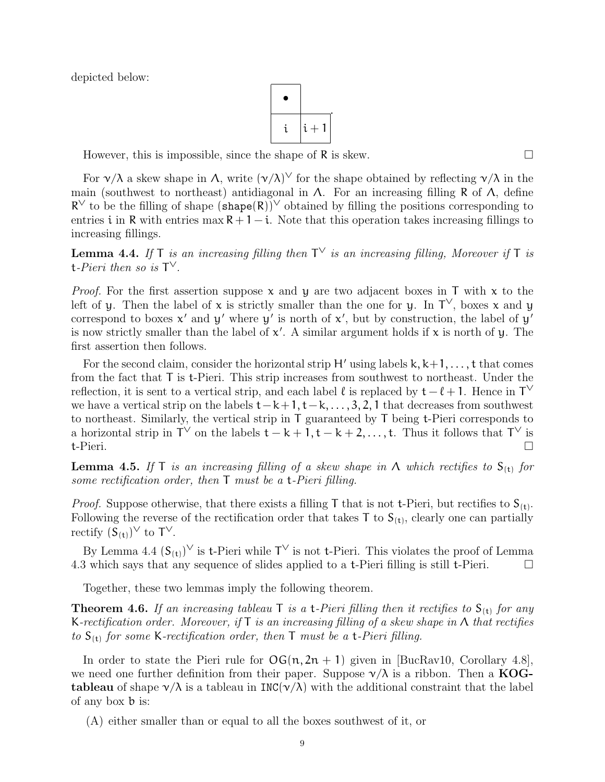depicted below:

$$
\begin{array}{|c|} \hline \bullet \\ \hline i & i+1 \\ \hline \end{array}
$$

However, this is impossible, since the shape of  $\mathsf R$  is skew.  $\Box$ 

For  $\gamma/\lambda$  a skew shape in  $\Lambda$ , write  $(\gamma/\lambda)^{\vee}$  for the shape obtained by reflecting  $\gamma/\lambda$  in the main (southwest to northeast) antidiagonal in  $\Lambda$ . For an increasing filling R of  $\Lambda$ , define  $R^{\vee}$  to be the filling of shape  $(\text{shape}(R))^{\vee}$  obtained by filling the positions corresponding to entries i in R with entries max  $R + 1 - i$ . Note that this operation takes increasing fillings to increasing fillings.

**Lemma 4.4.** If T is an increasing filling then  $T^{\vee}$  is an increasing filling, Moreover if T is t-Pieri then so is  $T^{\vee}$ .

*Proof.* For the first assertion suppose  $x$  and  $y$  are two adjacent boxes in T with  $x$  to the left of y. Then the label of x is strictly smaller than the one for y. In  $\mathsf{T}^{\vee}$ , boxes x and y correspond to boxes  $x'$  and  $y'$  where  $y'$  is north of  $x'$ , but by construction, the label of  $y'$ is now strictly smaller than the label of  $x'$ . A similar argument holds if  $x$  is north of y. The first assertion then follows.

For the second claim, consider the horizontal strip H' using labels  $k, k+1, \ldots, t$  that comes from the fact that T is t-Pieri. This strip increases from southwest to northeast. Under the reflection, it is sent to a vertical strip, and each label  $\ell$  is replaced by  $t - \ell + 1$ . Hence in T<sup> $\vee$ </sup> we have a vertical strip on the labels  $t-k+1$ ,  $t-k$ , ..., 3, 2, 1 that decreases from southwest to northeast. Similarly, the vertical strip in T guaranteed by T being t-Pieri corresponds to a horizontal strip in  $\mathsf{T}^{\vee}$  on the labels  $\mathsf{t}-\mathsf{k}+1,\mathsf{t}-\mathsf{k}+2,\ldots,\mathsf{t}$ . Thus it follows that  $\mathsf{T}^{\vee}$  is t-Pieri.

**Lemma 4.5.** If T is an increasing filling of a skew shape in  $\Lambda$  which rectifies to  $S_{(t)}$  for some rectification order, then T must be a t-Pieri filling.

*Proof.* Suppose otherwise, that there exists a filling T that is not t-Pieri, but rectifies to  $S_{(t)}$ . Following the reverse of the rectification order that takes  $T$  to  $S_{(t)}$ , clearly one can partially rectify  $(S_{(t)})^{\vee}$  to  $T^{\vee}$ .

By Lemma 4.4  $(S_{(t)})^{\vee}$  is t-Pieri while  $T^{\vee}$  is not t-Pieri. This violates the proof of Lemma 4.3 which says that any sequence of slides applied to a t-Pieri filling is still t-Pieri.  $\Box$ 

Together, these two lemmas imply the following theorem.

**Theorem 4.6.** If an increasing tableau  $\mathsf{T}$  is a t-Pieri filling then it rectifies to  $\mathsf{S}_{(\mathsf{t})}$  for any K-rectification order. Moreover, if T is an increasing filling of a skew shape in  $\Lambda$  that rectifies to  $S_{(t)}$  for some K-rectification order, then T must be a t-Pieri filling.

In order to state the Pieri rule for  $\mathsf{OG}(n, 2n + 1)$  given in [BucRav10, Corollary 4.8], we need one further definition from their paper. Suppose  $\nu/\lambda$  is a ribbon. Then a KOG**tableau** of shape  $\gamma/\lambda$  is a tableau in INC( $\gamma/\lambda$ ) with the additional constraint that the label of any box b is:

(A) either smaller than or equal to all the boxes southwest of it, or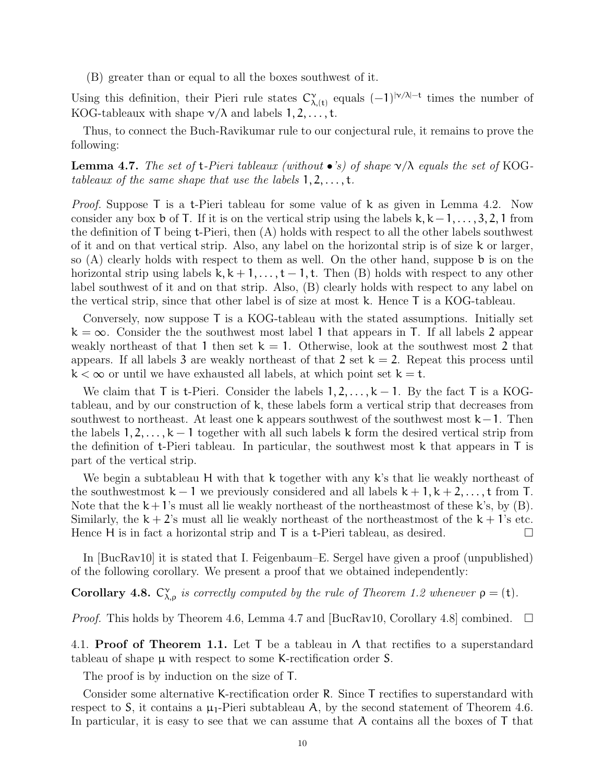(B) greater than or equal to all the boxes southwest of it.

Using this definition, their Pieri rule states  $C_{\lambda,(t)}^{\gamma}$  equals  $(-1)^{|\gamma/\lambda| - t}$  times the number of KOG-tableaux with shape  $\nu/\lambda$  and labels  $1, 2, \ldots, t$ .

Thus, to connect the Buch-Ravikumar rule to our conjectural rule, it remains to prove the following:

**Lemma 4.7.** The set of  $t$ -Pieri tableaux (without  $\bullet$ 's) of shape  $\vee/\lambda$  equals the set of KOGtableaux of the same shape that use the labels  $1, 2, \ldots, t$ .

Proof. Suppose T is a t-Pieri tableau for some value of k as given in Lemma 4.2. Now consider any box b of T. If it is on the vertical strip using the labels k,  $k - 1, \ldots, 3, 2, 1$  from the definition of T being t-Pieri, then (A) holds with respect to all the other labels southwest of it and on that vertical strip. Also, any label on the horizontal strip is of size k or larger, so (A) clearly holds with respect to them as well. On the other hand, suppose b is on the horizontal strip using labels  $k, k + 1, \ldots, t - 1, t$ . Then (B) holds with respect to any other label southwest of it and on that strip. Also, (B) clearly holds with respect to any label on the vertical strip, since that other label is of size at most k. Hence T is a KOG-tableau.

Conversely, now suppose T is a KOG-tableau with the stated assumptions. Initially set  $k = \infty$ . Consider the the southwest most label 1 that appears in T. If all labels 2 appear weakly northeast of that 1 then set  $k = 1$ . Otherwise, look at the southwest most 2 that appears. If all labels 3 are weakly northeast of that 2 set  $k = 2$ . Repeat this process until  $k < \infty$  or until we have exhausted all labels, at which point set  $k = t$ .

We claim that T is t-Pieri. Consider the labels  $1, 2, ..., k - 1$ . By the fact T is a KOGtableau, and by our construction of k, these labels form a vertical strip that decreases from southwest to northeast. At least one k appears southwest of the southwest most  $k-1$ . Then the labels  $1, 2, \ldots, k-1$  together with all such labels k form the desired vertical strip from the definition of t-Pieri tableau. In particular, the southwest most k that appears in T is part of the vertical strip.

We begin a subtableau H with that k together with any k's that lie weakly northeast of the southwestmost  $k-1$  we previously considered and all labels  $k+1, k+2, \ldots, t$  from T. Note that the  $k+1$ 's must all lie weakly northeast of the northeastmost of these k's, by  $(B)$ . Similarly, the  $k + 2$ 's must all lie weakly northeast of the northeastmost of the  $k + 1$ 's etc. Hence H is in fact a horizontal strip and  $\overline{\mathrm{T}}$  is a t-Pieri tableau, as desired.

In [BucRav10] it is stated that I. Feigenbaum–E. Sergel have given a proof (unpublished) of the following corollary. We present a proof that we obtained independently:

**Corollary 4.8.**  $C^{\gamma}_{\lambda,\rho}$  is correctly computed by the rule of Theorem 1.2 whenever  $\rho = (t)$ .

*Proof.* This holds by Theorem 4.6, Lemma 4.7 and [BucRav10, Corollary 4.8] combined.  $\square$ 

4.1. **Proof of Theorem 1.1.** Let T be a tableau in  $\Lambda$  that rectifies to a superstandard tableau of shape  $\mu$  with respect to some K-rectification order S.

The proof is by induction on the size of T.

Consider some alternative K-rectification order R. Since T rectifies to superstandard with respect to S, it contains a  $\mu_1$ -Pieri subtableau A, by the second statement of Theorem 4.6. In particular, it is easy to see that we can assume that A contains all the boxes of T that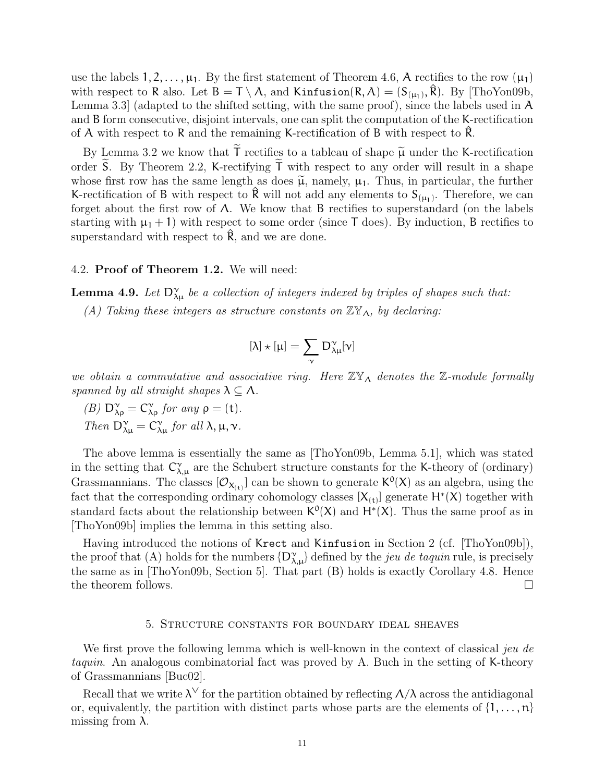use the labels  $1, 2, \ldots, \mu_1$ . By the first statement of Theorem 4.6, A rectifies to the row  $(\mu_1)$ with respect to R also. Let  $B = T \setminus A$ , and Kinfusion $(R, A) = (S_{(\mu_1)}, \hat{R})$ . By [ThoYon09b, Lemma 3.3] (adapted to the shifted setting, with the same proof), since the labels used in A and B form consecutive, disjoint intervals, one can split the computation of the K-rectification of A with respect to R and the remaining K-rectification of B with respect to  $\overline{R}$ .

By Lemma 3.2 we know that  $\tilde{T}$  rectifies to a tableau of shape  $\tilde{\mu}$  under the K-rectification order S. By Theorem 2.2, K-rectifying  $\mathsf T$  with respect to any order will result in a shape whose first row has the same length as does  $\tilde{\mu}$ , namely,  $\mu_1$ . Thus, in particular, the further K-rectification of B with respect to  $\hat{\mathsf{R}}$  will not add any elements to  $\mathsf{S}_{(\mu_1)}$ . Therefore, we can forget about the first row of  $\Lambda$ . We know that B rectifies to superstandard (on the labels starting with  $\mu_1 + 1$ ) with respect to some order (since T does). By induction, B rectifies to superstandard with respect to  $\hat{\mathsf{R}}$ , and we are done.

### 4.2. Proof of Theorem 1.2. We will need:

**Lemma 4.9.** Let  $D^{\gamma}_{\lambda\mu}$  be a collection of integers indexed by triples of shapes such that:

(A) Taking these integers as structure constants on  $\mathbb{Z}Y_{\Lambda}$ , by declaring:

$$
[\lambda]\star[\mu]=\sum_\nu\,D_{\lambda\mu}^\nu[\nu]
$$

we obtain a commutative and associative ring. Here  $\mathbb{Z} \mathbb{Y}_{\Lambda}$  denotes the  $\mathbb{Z}$ -module formally spanned by all straight shapes  $\lambda \subseteq \Lambda$ .

(B)  $D^{\gamma}_{\lambda \rho} = C^{\gamma}_{\lambda \rho}$  for any  $\rho = (t)$ . Then  $D^{\gamma}_{\lambda\mu} = C^{\gamma}_{\lambda\mu}$  for all  $\lambda, \mu, \nu$ .

The above lemma is essentially the same as [ThoYon09b, Lemma 5.1], which was stated in the setting that  $C^{\gamma}_{\lambda,\mu}$  are the Schubert structure constants for the K-theory of (ordinary) Grassmannians. The classes  $[O_{X_{(t)}}]$  can be shown to generate  $K^0(X)$  as an algebra, using the fact that the corresponding ordinary cohomology classes  $[X_{(t)}]$  generate  $H^*(X)$  together with standard facts about the relationship between  $K^0(X)$  and  $H^*(X)$ . Thus the same proof as in [ThoYon09b] implies the lemma in this setting also.

Having introduced the notions of Krect and Kinfusion in Section 2 (cf. [ThoYon09b]), the proof that (A) holds for the numbers  $\{D_{\lambda,\mu}^{\gamma}\}\$  defined by the *jeu de taquin* rule, is precisely the same as in [ThoYon09b, Section 5]. That part (B) holds is exactly Corollary 4.8. Hence the theorem follows.  $\Box$ 

### 5. Structure constants for boundary ideal sheaves

We first prove the following lemma which is well-known in the context of classical jeu de taquin. An analogous combinatorial fact was proved by A. Buch in the setting of K-theory of Grassmannians [Buc02].

Recall that we write  $\lambda^{\vee}$  for the partition obtained by reflecting  $\Lambda/\lambda$  across the antidiagonal or, equivalently, the partition with distinct parts whose parts are the elements of  $\{1, \ldots, n\}$ missing from  $λ$ .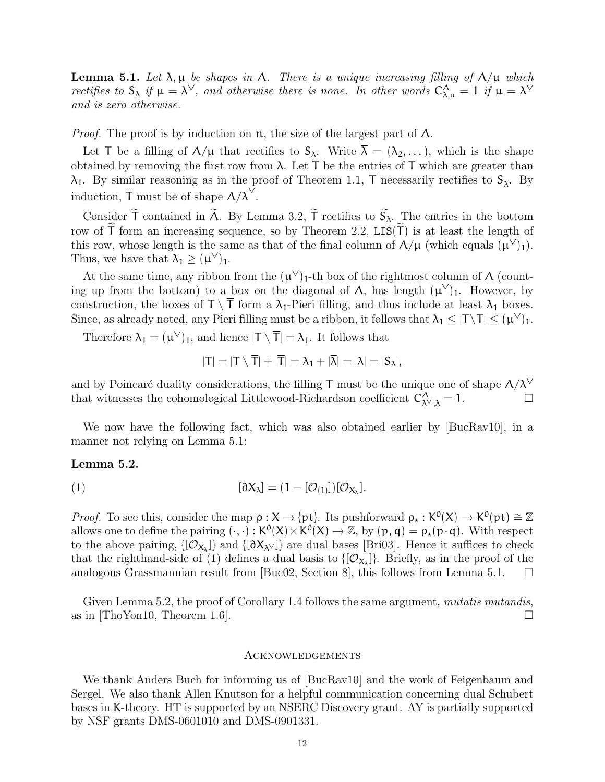**Lemma 5.1.** Let  $\lambda$ ,  $\mu$  be shapes in  $\Lambda$ . There is a unique increasing filling of  $\Lambda/\mu$  which rectifies to  $S_\lambda$  if  $\mu = \lambda^\vee$ , and otherwise there is none. In other words  $C_{\lambda,\mu}^\Lambda = 1$  if  $\mu = \lambda^\vee$ and is zero otherwise.

*Proof.* The proof is by induction on  $\pi$ , the size of the largest part of  $\Lambda$ .

Let T be a filling of  $\Lambda/\mu$  that rectifies to  $S_\lambda$ . Write  $\overline{\lambda} = (\lambda_2, \ldots)$ , which is the shape obtained by removing the first row from  $\lambda$ . Let  $\overline{T}$  be the entries of T which are greater than  $\lambda_1$ . By similar reasoning as in the proof of Theorem 1.1, T necessarily rectifies to  $S_{\overline{\lambda}}$ . By induction,  $\overline{T}$  must be of shape  $\Lambda/\overline{\lambda}^{\vee}$ .

Consider  $\tilde{T}$  contained in  $\tilde{\Lambda}$ . By Lemma 3.2,  $\tilde{T}$  rectifies to  $\tilde{S}_{\lambda}$ . The entries in the bottom row of  $\tilde{T}$  form an increasing sequence, so by Theorem 2.2,  $LIS(\tilde{T})$  is at least the length of this row, whose length is the same as that of the final column of  $\Lambda/\mu$  (which equals  $(\mu^{\vee})_1$ ). Thus, we have that  $\lambda_1 \geq (\mu^{\vee})_1$ .

At the same time, any ribbon from the  $(\mu^{\vee})_1$ -th box of the rightmost column of  $\Lambda$  (counting up from the bottom) to a box on the diagonal of  $\Lambda$ , has length  $(\mu^{\vee})_1$ . However, by construction, the boxes of  $T \setminus \overline{T}$  form a  $\lambda_1$ -Pieri filling, and thus include at least  $\lambda_1$  boxes. Since, as already noted, any Pieri filling must be a ribbon, it follows that  $\lambda_1 \leq |T \setminus \overline{T}| \leq (\mu^{\vee})_1$ .

Therefore  $\lambda_1 = (\mu^{\vee})_1$ , and hence  $|T \setminus \overline{T}| = \lambda_1$ . It follows that

$$
|T| = |T \setminus \overline{T}| + |\overline{T}| = \lambda_1 + |\overline{\lambda}| = |\lambda| = |S_{\lambda}|,
$$

and by Poincaré duality considerations, the filling T must be the unique one of shape  $\Lambda/\lambda^\vee$ that witnesses the cohomological Littlewood-Richardson coefficient  $C^{\Lambda}_{\lambda^{\vee},\lambda} = 1$ .

We now have the following fact, which was also obtained earlier by [BucRav10], in a manner not relying on Lemma 5.1:

# Lemma 5.2.

$$
(1) \qquad [\partial X_{\lambda}] = (1 - [\mathcal{O}_{(1)}])[\mathcal{O}_{X_{\lambda}}].
$$

*Proof.* To see this, consider the map  $\rho : X \to \{pt\}$ . Its pushforward  $\rho_* : K^0(X) \to K^0(pt) \cong \mathbb{Z}$ <br>allows are to define the pointing  $(\square) : K^0(Y) \times K^0(Y) \to \mathbb{Z}$  by  $(n, q) \to \Omega$  (n, g). With perpect allows one to define the pairing  $(\cdot, \cdot): K^0(X) \times K^0(X) \to \mathbb{Z}$ , by  $(p, q) = \rho_*(p \cdot q)$ . With respect<br>to the share pairing  $([Q, \cdot])$  and  $([Q, \cdot])$  are dual hance  $[D, Q]$ . Hence it without a hade to the above pairing,  $\{[O_{X_\lambda}]\}$  and  $\{[{\partial}X_{\lambda^\vee}]\}$  are dual bases [Bri03]. Hence it suffices to check that the righthand-side of (1) defines a dual basis to  $\{[O_{X_\lambda}]\}\$ . Briefly, as in the proof of the analogous Grassmannian result from [Buc02, Section 8], this follows from Lemma 5.1.  $\Box$ 

Given Lemma 5.2, the proof of Corollary 1.4 follows the same argument, *mutatis mutandis*, as in  $[ThoYon10, Theorem 1.6]$ .

#### Acknowledgements

We thank Anders Buch for informing us of [BucRav10] and the work of Feigenbaum and Sergel. We also thank Allen Knutson for a helpful communication concerning dual Schubert bases in K-theory. HT is supported by an NSERC Discovery grant. AY is partially supported by NSF grants DMS-0601010 and DMS-0901331.